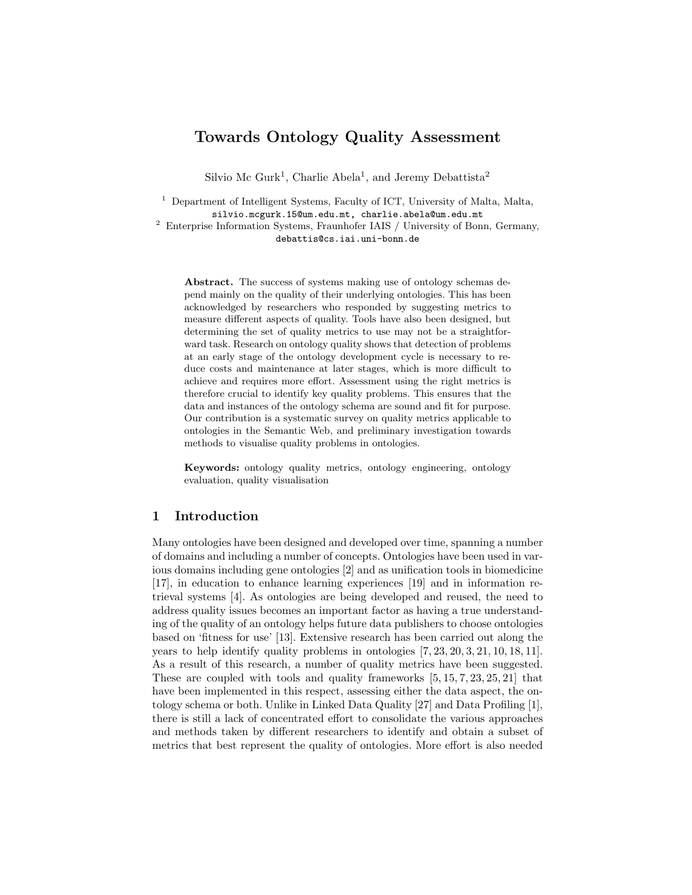# Towards Ontology Quality Assessment

Silvio Mc Gurk<sup>1</sup>, Charlie Abela<sup>1</sup>, and Jeremy Debattista<sup>2</sup>

<sup>1</sup> Department of Intelligent Systems, Faculty of ICT, University of Malta, Malta, silvio.mcgurk.15@um.edu.mt, charlie.abela@um.edu.mt

<sup>2</sup> Enterprise Information Systems, Fraunhofer IAIS / University of Bonn, Germany, debattis@cs.iai.uni-bonn.de

Abstract. The success of systems making use of ontology schemas depend mainly on the quality of their underlying ontologies. This has been acknowledged by researchers who responded by suggesting metrics to measure different aspects of quality. Tools have also been designed, but determining the set of quality metrics to use may not be a straightforward task. Research on ontology quality shows that detection of problems at an early stage of the ontology development cycle is necessary to reduce costs and maintenance at later stages, which is more difficult to achieve and requires more effort. Assessment using the right metrics is therefore crucial to identify key quality problems. This ensures that the data and instances of the ontology schema are sound and fit for purpose. Our contribution is a systematic survey on quality metrics applicable to ontologies in the Semantic Web, and preliminary investigation towards methods to visualise quality problems in ontologies.

Keywords: ontology quality metrics, ontology engineering, ontology evaluation, quality visualisation

# 1 Introduction

Many ontologies have been designed and developed over time, spanning a number of domains and including a number of concepts. Ontologies have been used in various domains including gene ontologies [2] and as unification tools in biomedicine [17], in education to enhance learning experiences [19] and in information retrieval systems [4]. As ontologies are being developed and reused, the need to address quality issues becomes an important factor as having a true understanding of the quality of an ontology helps future data publishers to choose ontologies based on 'fitness for use' [13]. Extensive research has been carried out along the years to help identify quality problems in ontologies [7, 23, 20, 3, 21, 10, 18, 11]. As a result of this research, a number of quality metrics have been suggested. These are coupled with tools and quality frameworks [5, 15, 7, 23, 25, 21] that have been implemented in this respect, assessing either the data aspect, the ontology schema or both. Unlike in Linked Data Quality [27] and Data Profiling [1], there is still a lack of concentrated effort to consolidate the various approaches and methods taken by different researchers to identify and obtain a subset of metrics that best represent the quality of ontologies. More effort is also needed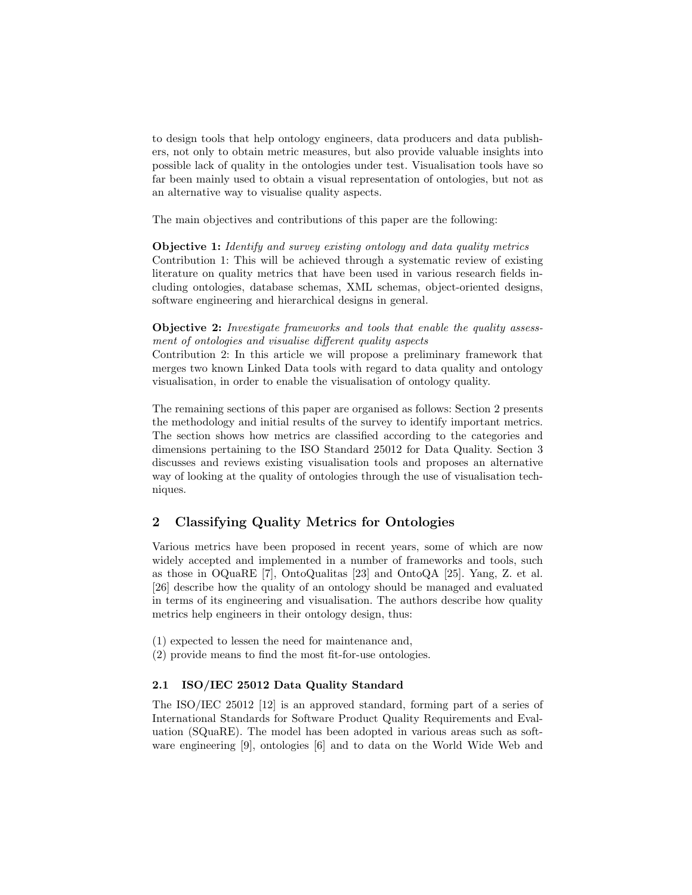to design tools that help ontology engineers, data producers and data publishers, not only to obtain metric measures, but also provide valuable insights into possible lack of quality in the ontologies under test. Visualisation tools have so far been mainly used to obtain a visual representation of ontologies, but not as an alternative way to visualise quality aspects.

The main objectives and contributions of this paper are the following:

#### Objective 1: Identify and survey existing ontology and data quality metrics

Contribution 1: This will be achieved through a systematic review of existing literature on quality metrics that have been used in various research fields including ontologies, database schemas, XML schemas, object-oriented designs, software engineering and hierarchical designs in general.

## Objective 2: Investigate frameworks and tools that enable the quality assessment of ontologies and visualise different quality aspects

Contribution 2: In this article we will propose a preliminary framework that merges two known Linked Data tools with regard to data quality and ontology visualisation, in order to enable the visualisation of ontology quality.

The remaining sections of this paper are organised as follows: Section 2 presents the methodology and initial results of the survey to identify important metrics. The section shows how metrics are classified according to the categories and dimensions pertaining to the ISO Standard 25012 for Data Quality. Section 3 discusses and reviews existing visualisation tools and proposes an alternative way of looking at the quality of ontologies through the use of visualisation techniques.

# 2 Classifying Quality Metrics for Ontologies

Various metrics have been proposed in recent years, some of which are now widely accepted and implemented in a number of frameworks and tools, such as those in OQuaRE [7], OntoQualitas [23] and OntoQA [25]. Yang, Z. et al. [26] describe how the quality of an ontology should be managed and evaluated in terms of its engineering and visualisation. The authors describe how quality metrics help engineers in their ontology design, thus:

- (1) expected to lessen the need for maintenance and,
- (2) provide means to find the most fit-for-use ontologies.

### 2.1 ISO/IEC 25012 Data Quality Standard

The ISO/IEC 25012 [12] is an approved standard, forming part of a series of International Standards for Software Product Quality Requirements and Evaluation (SQuaRE). The model has been adopted in various areas such as software engineering [9], ontologies [6] and to data on the World Wide Web and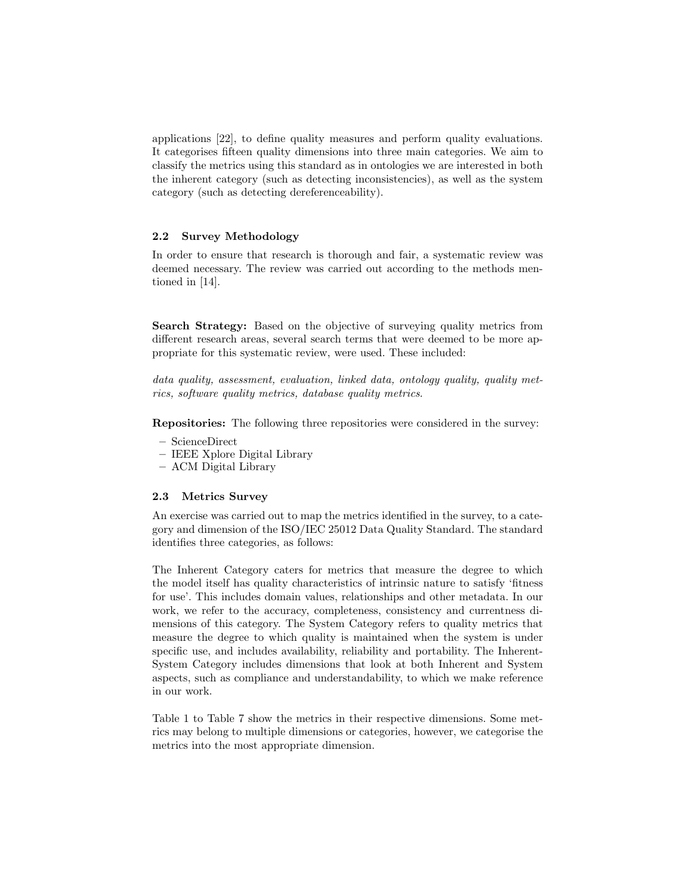applications [22], to define quality measures and perform quality evaluations. It categorises fifteen quality dimensions into three main categories. We aim to classify the metrics using this standard as in ontologies we are interested in both the inherent category (such as detecting inconsistencies), as well as the system category (such as detecting dereferenceability).

#### 2.2 Survey Methodology

In order to ensure that research is thorough and fair, a systematic review was deemed necessary. The review was carried out according to the methods mentioned in [14].

Search Strategy: Based on the objective of surveying quality metrics from different research areas, several search terms that were deemed to be more appropriate for this systematic review, were used. These included:

data quality, assessment, evaluation, linked data, ontology quality, quality metrics, software quality metrics, database quality metrics.

Repositories: The following three repositories were considered in the survey:

- ScienceDirect
- IEEE Xplore Digital Library
- ACM Digital Library

#### 2.3 Metrics Survey

An exercise was carried out to map the metrics identified in the survey, to a category and dimension of the ISO/IEC 25012 Data Quality Standard. The standard identifies three categories, as follows:

The Inherent Category caters for metrics that measure the degree to which the model itself has quality characteristics of intrinsic nature to satisfy 'fitness for use'. This includes domain values, relationships and other metadata. In our work, we refer to the accuracy, completeness, consistency and currentness dimensions of this category. The System Category refers to quality metrics that measure the degree to which quality is maintained when the system is under specific use, and includes availability, reliability and portability. The Inherent-System Category includes dimensions that look at both Inherent and System aspects, such as compliance and understandability, to which we make reference in our work.

Table 1 to Table 7 show the metrics in their respective dimensions. Some metrics may belong to multiple dimensions or categories, however, we categorise the metrics into the most appropriate dimension.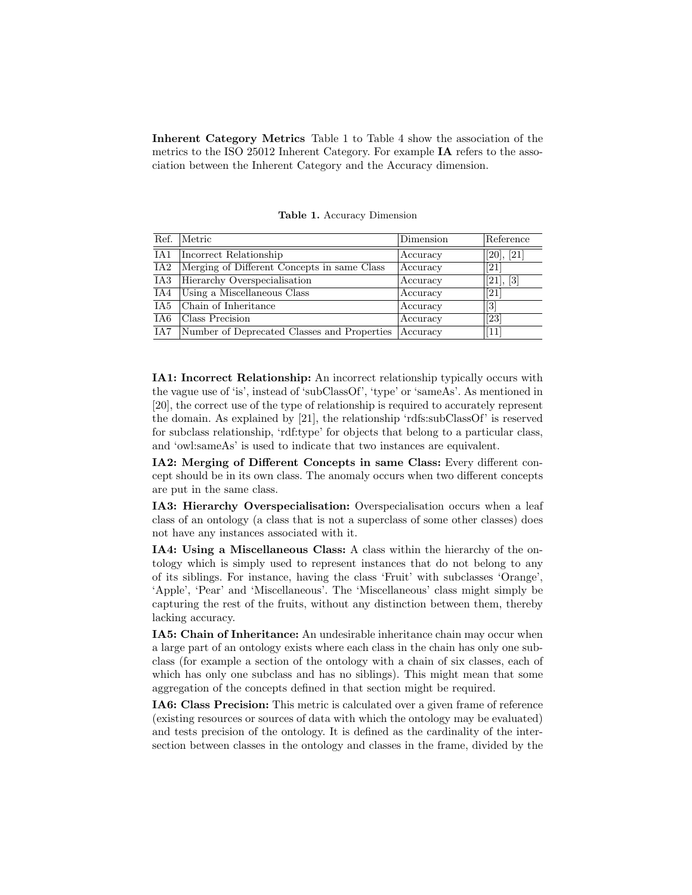Inherent Category Metrics Table 1 to Table 4 show the association of the metrics to the ISO 25012 Inherent Category. For example IA refers to the association between the Inherent Category and the Accuracy dimension.

| Ref. | Metric                                      | Dimension | Reference                    |
|------|---------------------------------------------|-----------|------------------------------|
| IA1  | Incorrect Relationship                      | Accuracy  | [20], [21]                   |
| IA2  | Merging of Different Concepts in same Class | Accuracy  | $\left[ 21\right]$           |
| IA3  | Hierarchy Overspecialisation                | Accuracy  | [21], [3]                    |
| IA4  | Using a Miscellaneous Class                 | Accuracy  | [21]                         |
| IA5  | Chain of Inheritance                        | Accuracy  | $\left\lceil 3 \right\rceil$ |
| IA6. | Class Precision                             | Accuracy  | [23]                         |
| IA7  | Number of Deprecated Classes and Properties | Accuracy  | 11                           |

Table 1. Accuracy Dimension

IA1: Incorrect Relationship: An incorrect relationship typically occurs with the vague use of 'is', instead of 'subClassOf', 'type' or 'sameAs'. As mentioned in [20], the correct use of the type of relationship is required to accurately represent the domain. As explained by [21], the relationship 'rdfs:subClassOf' is reserved for subclass relationship, 'rdf:type' for objects that belong to a particular class, and 'owl:sameAs' is used to indicate that two instances are equivalent.

IA2: Merging of Different Concepts in same Class: Every different concept should be in its own class. The anomaly occurs when two different concepts are put in the same class.

IA3: Hierarchy Overspecialisation: Overspecialisation occurs when a leaf class of an ontology (a class that is not a superclass of some other classes) does not have any instances associated with it.

IA4: Using a Miscellaneous Class: A class within the hierarchy of the ontology which is simply used to represent instances that do not belong to any of its siblings. For instance, having the class 'Fruit' with subclasses 'Orange', 'Apple', 'Pear' and 'Miscellaneous'. The 'Miscellaneous' class might simply be capturing the rest of the fruits, without any distinction between them, thereby lacking accuracy.

IA5: Chain of Inheritance: An undesirable inheritance chain may occur when a large part of an ontology exists where each class in the chain has only one subclass (for example a section of the ontology with a chain of six classes, each of which has only one subclass and has no siblings). This might mean that some aggregation of the concepts defined in that section might be required.

IA6: Class Precision: This metric is calculated over a given frame of reference (existing resources or sources of data with which the ontology may be evaluated) and tests precision of the ontology. It is defined as the cardinality of the intersection between classes in the ontology and classes in the frame, divided by the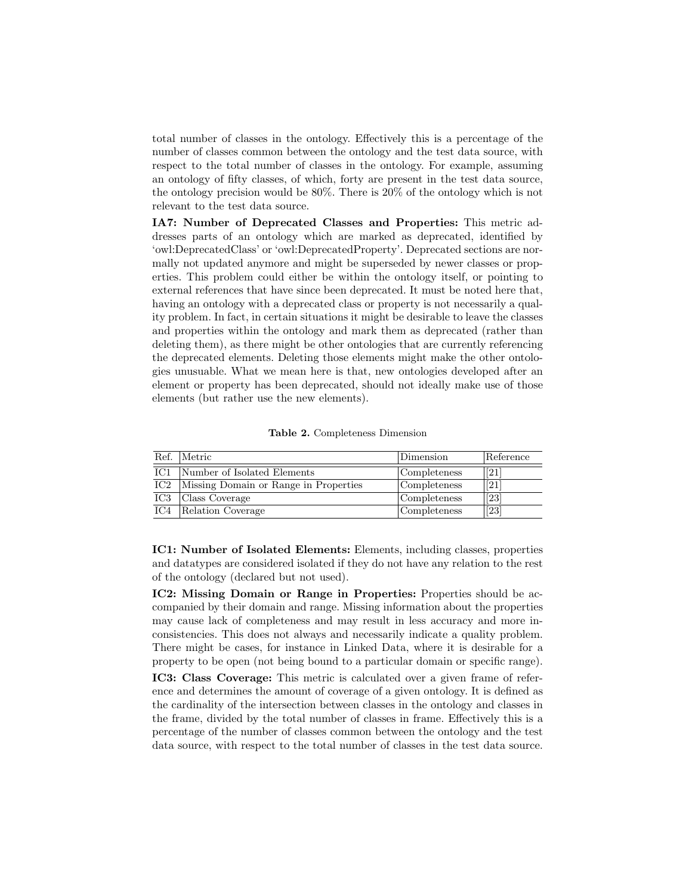total number of classes in the ontology. Effectively this is a percentage of the number of classes common between the ontology and the test data source, with respect to the total number of classes in the ontology. For example, assuming an ontology of fifty classes, of which, forty are present in the test data source, the ontology precision would be 80%. There is 20% of the ontology which is not relevant to the test data source.

IA7: Number of Deprecated Classes and Properties: This metric addresses parts of an ontology which are marked as deprecated, identified by 'owl:DeprecatedClass' or 'owl:DeprecatedProperty'. Deprecated sections are normally not updated anymore and might be superseded by newer classes or properties. This problem could either be within the ontology itself, or pointing to external references that have since been deprecated. It must be noted here that, having an ontology with a deprecated class or property is not necessarily a quality problem. In fact, in certain situations it might be desirable to leave the classes and properties within the ontology and mark them as deprecated (rather than deleting them), as there might be other ontologies that are currently referencing the deprecated elements. Deleting those elements might make the other ontologies unusuable. What we mean here is that, new ontologies developed after an element or property has been deprecated, should not ideally make use of those elements (but rather use the new elements).

Table 2. Completeness Dimension

| Ref.            | Metric                                | Dimension    | Reference         |
|-----------------|---------------------------------------|--------------|-------------------|
| IC1             | Number of Isolated Elements           | Completeness | [21]              |
| IC <sub>2</sub> | Missing Domain or Range in Properties | Completeness | [21]              |
| IC <sub>3</sub> | Class Coverage                        | Completeness | $\overline{23}$   |
| IC4             | Relation Coverage                     | Completeness | $\overline{[23]}$ |

IC1: Number of Isolated Elements: Elements, including classes, properties and datatypes are considered isolated if they do not have any relation to the rest of the ontology (declared but not used).

IC2: Missing Domain or Range in Properties: Properties should be accompanied by their domain and range. Missing information about the properties may cause lack of completeness and may result in less accuracy and more inconsistencies. This does not always and necessarily indicate a quality problem. There might be cases, for instance in Linked Data, where it is desirable for a property to be open (not being bound to a particular domain or specific range).

IC3: Class Coverage: This metric is calculated over a given frame of reference and determines the amount of coverage of a given ontology. It is defined as the cardinality of the intersection between classes in the ontology and classes in the frame, divided by the total number of classes in frame. Effectively this is a percentage of the number of classes common between the ontology and the test data source, with respect to the total number of classes in the test data source.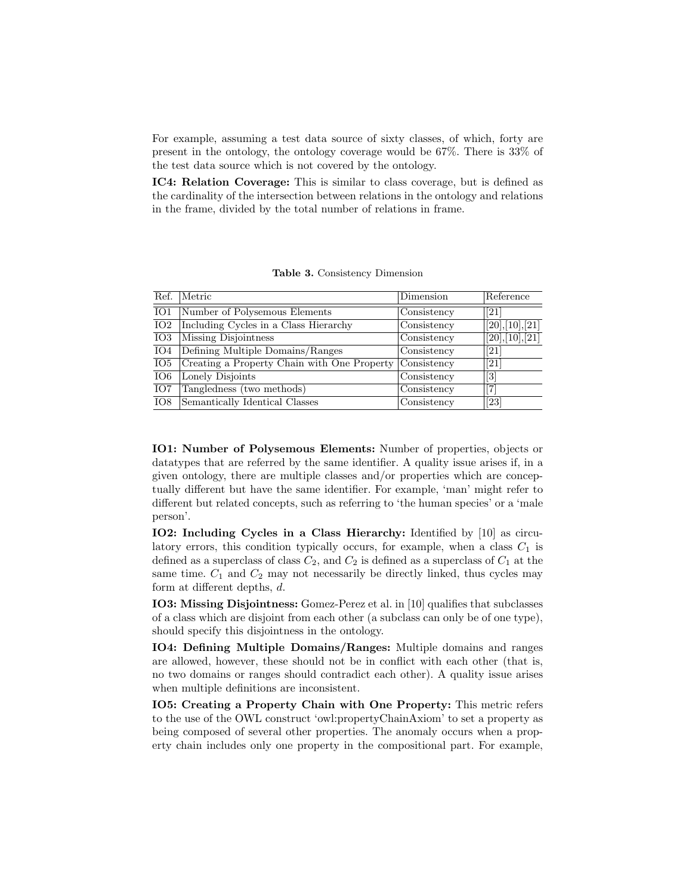For example, assuming a test data source of sixty classes, of which, forty are present in the ontology, the ontology coverage would be 67%. There is 33% of the test data source which is not covered by the ontology.

IC4: Relation Coverage: This is similar to class coverage, but is defined as the cardinality of the intersection between relations in the ontology and relations in the frame, divided by the total number of relations in frame.

| Ref.            | Metric                                      | Dimension                       | Reference                                                                                                                                                                             |
|-----------------|---------------------------------------------|---------------------------------|---------------------------------------------------------------------------------------------------------------------------------------------------------------------------------------|
| IO1             | Number of Polysemous Elements               | Consistency                     | $\left[ 21\right]$                                                                                                                                                                    |
| IO <sub>2</sub> | Including Cycles in a Class Hierarchy       | $\overline{\text{Consistency}}$ | [20],[10],[21]                                                                                                                                                                        |
| IO <sub>3</sub> | Missing Disjointness                        | $\overline{\text{Consistency}}$ | [20],[10],[21]                                                                                                                                                                        |
| IO4             | Defining Multiple Domains/Ranges            | Consistency                     | $\left[ 21\right]$                                                                                                                                                                    |
| IO5             | Creating a Property Chain with One Property | $\overline{\text{Consistency}}$ | [21]                                                                                                                                                                                  |
| IO6             | Lonely Disjoints                            | Consistency                     | $[3] % \includegraphics[width=0.9\columnwidth]{figures/fig_0_2.pdf} \caption{Schematic diagram of the top of the top of the top of the top of the top of the right.} \label{fig:2} %$ |
| IO7             | Tangledness (two methods)                   | Consistency                     | 7                                                                                                                                                                                     |
| IO <sub>8</sub> | Semantically Identical Classes              | Consistency                     | [23]                                                                                                                                                                                  |

Table 3. Consistency Dimension

IO1: Number of Polysemous Elements: Number of properties, objects or datatypes that are referred by the same identifier. A quality issue arises if, in a given ontology, there are multiple classes and/or properties which are conceptually different but have the same identifier. For example, 'man' might refer to different but related concepts, such as referring to 'the human species' or a 'male person'.

IO2: Including Cycles in a Class Hierarchy: Identified by [10] as circulatory errors, this condition typically occurs, for example, when a class  $C_1$  is defined as a superclass of class  $C_2$ , and  $C_2$  is defined as a superclass of  $C_1$  at the same time.  $C_1$  and  $C_2$  may not necessarily be directly linked, thus cycles may form at different depths, d.

IO3: Missing Disjointness: Gomez-Perez et al. in [10] qualifies that subclasses of a class which are disjoint from each other (a subclass can only be of one type), should specify this disjointness in the ontology.

IO4: Defining Multiple Domains/Ranges: Multiple domains and ranges are allowed, however, these should not be in conflict with each other (that is, no two domains or ranges should contradict each other). A quality issue arises when multiple definitions are inconsistent.

IO5: Creating a Property Chain with One Property: This metric refers to the use of the OWL construct 'owl:propertyChainAxiom' to set a property as being composed of several other properties. The anomaly occurs when a property chain includes only one property in the compositional part. For example,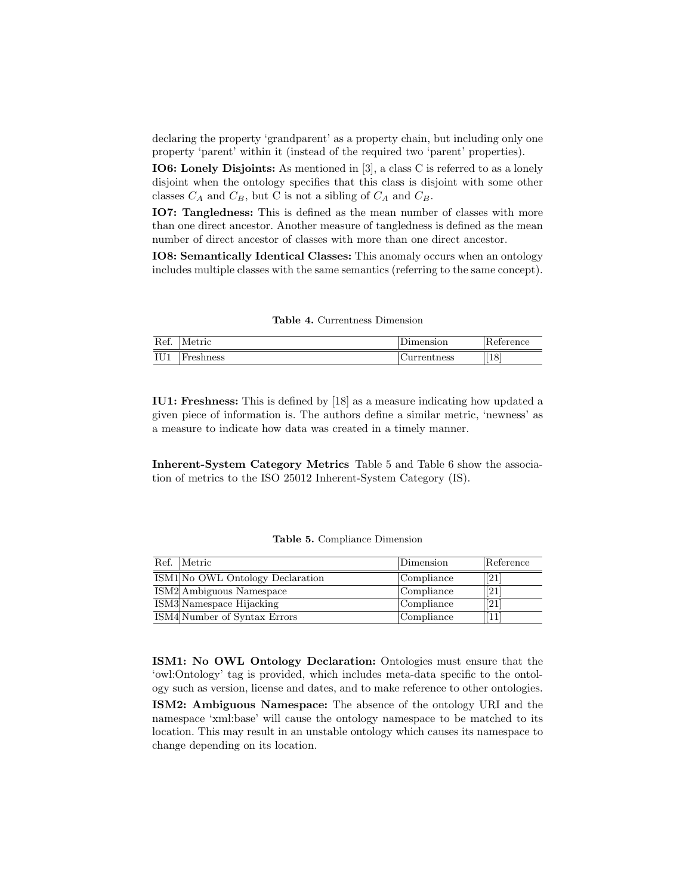declaring the property 'grandparent' as a property chain, but including only one property 'parent' within it (instead of the required two 'parent' properties).

IO6: Lonely Disjoints: As mentioned in [3], a class C is referred to as a lonely disjoint when the ontology specifies that this class is disjoint with some other classes  $C_A$  and  $C_B$ , but C is not a sibling of  $C_A$  and  $C_B$ .

IO7: Tangledness: This is defined as the mean number of classes with more than one direct ancestor. Another measure of tangledness is defined as the mean number of direct ancestor of classes with more than one direct ancestor.

IO8: Semantically Identical Classes: This anomaly occurs when an ontology includes multiple classes with the same semantics (referring to the same concept).

| <b>Table 4.</b> Currentness Dimension |  |
|---------------------------------------|--|
|                                       |  |

| Ref. | Metric                               | Jimension   | Reference |
|------|--------------------------------------|-------------|-----------|
| IU1  | $\overline{\phantom{a}}$<br>reshness | urrentness/ | [18]      |

IU1: Freshness: This is defined by [18] as a measure indicating how updated a given piece of information is. The authors define a similar metric, 'newness' as a measure to indicate how data was created in a timely manner.

Inherent-System Category Metrics Table 5 and Table 6 show the association of metrics to the ISO 25012 Inherent-System Category (IS).

| Ref. Metric                      | $\mathop{\rm Dimension}\nolimits$ | Reference          |
|----------------------------------|-----------------------------------|--------------------|
| ISM1 No OWL Ontology Declaration | Compliance                        | [21]               |
| ISM2 Ambiguous Namespace         | Compliance                        | $\left[ 21\right]$ |
| ISM3 Namespace Hijacking         | Compliance                        | $\left[ 21\right]$ |
| ISM4 Number of Syntax Errors     | Compliance                        | 11                 |

Table 5. Compliance Dimension

ISM1: No OWL Ontology Declaration: Ontologies must ensure that the 'owl:Ontology' tag is provided, which includes meta-data specific to the ontology such as version, license and dates, and to make reference to other ontologies.

ISM2: Ambiguous Namespace: The absence of the ontology URI and the namespace 'xml:base' will cause the ontology namespace to be matched to its location. This may result in an unstable ontology which causes its namespace to change depending on its location.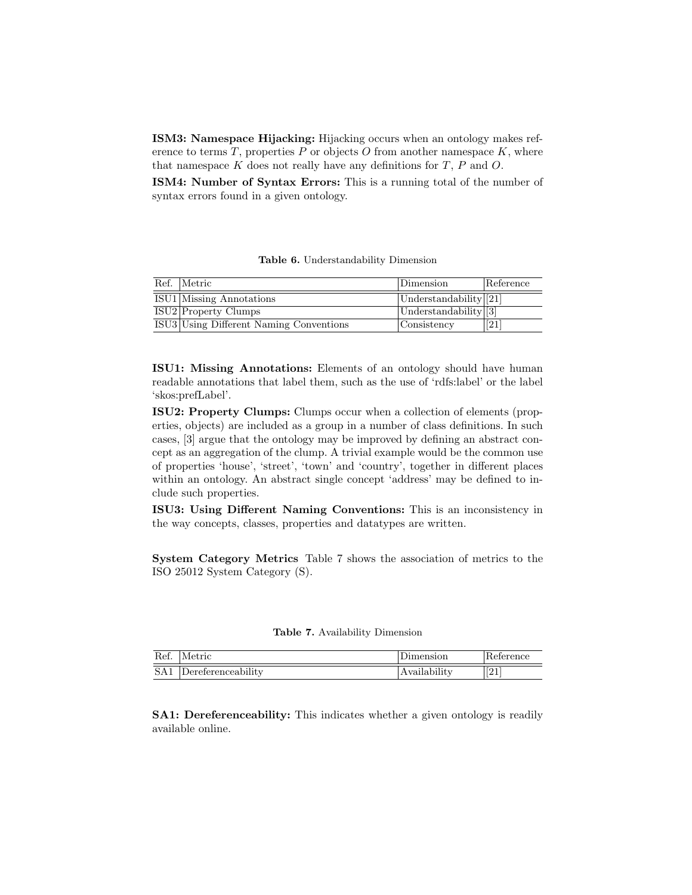ISM3: Namespace Hijacking: Hijacking occurs when an ontology makes reference to terms  $T$ , properties  $P$  or objects  $O$  from another namespace  $K$ , where that namespace  $K$  does not really have any definitions for  $T$ ,  $P$  and  $Q$ .

ISM4: Number of Syntax Errors: This is a running total of the number of syntax errors found in a given ontology.

|  |  | Table 6. Understandability Dimension |  |
|--|--|--------------------------------------|--|
|--|--|--------------------------------------|--|

| Ref. Metric                             | Dimension                      | Reference         |
|-----------------------------------------|--------------------------------|-------------------|
| <b>ISU1</b> Missing Annotations         | Understandability $\boxed{21}$ |                   |
| <b>ISU2</b> Property Clumps             | Understanding 3                |                   |
| ISU3 Using Different Naming Conventions | Consistency                    | $\left[21\right]$ |

ISU1: Missing Annotations: Elements of an ontology should have human readable annotations that label them, such as the use of 'rdfs:label' or the label 'skos:prefLabel'.

ISU2: Property Clumps: Clumps occur when a collection of elements (properties, objects) are included as a group in a number of class definitions. In such cases, [3] argue that the ontology may be improved by defining an abstract concept as an aggregation of the clump. A trivial example would be the common use of properties 'house', 'street', 'town' and 'country', together in different places within an ontology. An abstract single concept 'address' may be defined to include such properties.

ISU3: Using Different Naming Conventions: This is an inconsistency in the way concepts, classes, properties and datatypes are written.

System Category Metrics Table 7 shows the association of metrics to the ISO 25012 System Category (S).

|  |  | Table 7. Availability Dimension |  |
|--|--|---------------------------------|--|
|--|--|---------------------------------|--|

| Ref.            | Metric                    | nsion                   | Reference  |
|-----------------|---------------------------|-------------------------|------------|
| SA <sub>1</sub> | <b>Dereferenceability</b> | $\cdots$<br>vailability | ഫ-<br>14 L |

SA1: Dereferenceability: This indicates whether a given ontology is readily available online.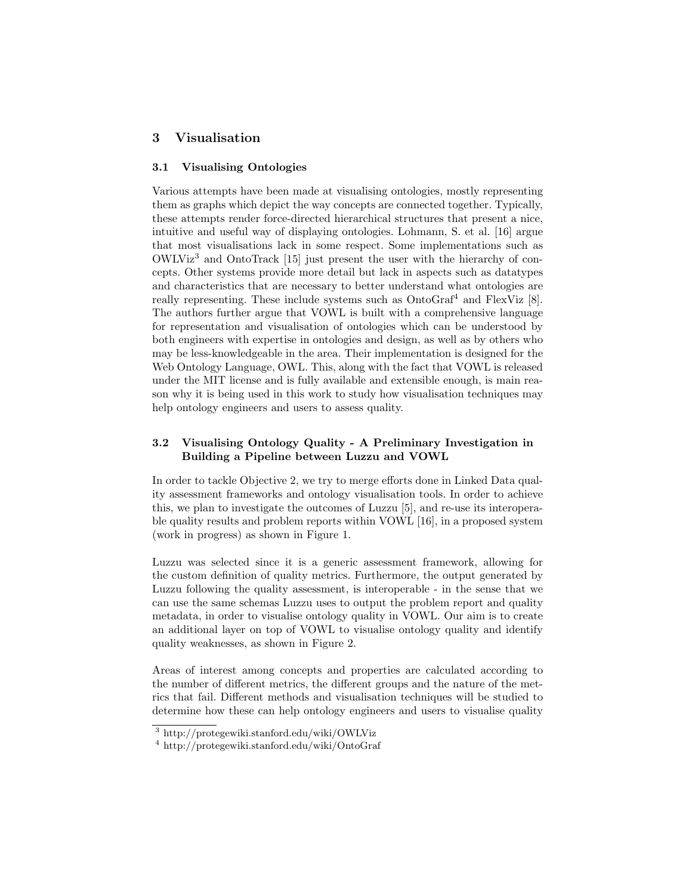# 3 Visualisation

## 3.1 Visualising Ontologies

Various attempts have been made at visualising ontologies, mostly representing them as graphs which depict the way concepts are connected together. Typically, these attempts render force-directed hierarchical structures that present a nice, intuitive and useful way of displaying ontologies. Lohmann, S. et al. [16] argue that most visualisations lack in some respect. Some implementations such as  $OWLVi<sup>3</sup>$  and OntoTrack [15] just present the user with the hierarchy of concepts. Other systems provide more detail but lack in aspects such as datatypes and characteristics that are necessary to better understand what ontologies are really representing. These include systems such as  $OntoGraf<sup>4</sup>$  and  $FlexViz$  [8]. The authors further argue that VOWL is built with a comprehensive language for representation and visualisation of ontologies which can be understood by both engineers with expertise in ontologies and design, as well as by others who may be less-knowledgeable in the area. Their implementation is designed for the Web Ontology Language, OWL. This, along with the fact that VOWL is released under the MIT license and is fully available and extensible enough, is main reason why it is being used in this work to study how visualisation techniques may help ontology engineers and users to assess quality.

### 3.2 Visualising Ontology Quality - A Preliminary Investigation in Building a Pipeline between Luzzu and VOWL

In order to tackle Objective 2, we try to merge efforts done in Linked Data quality assessment frameworks and ontology visualisation tools. In order to achieve this, we plan to investigate the outcomes of Luzzu [5], and re-use its interoperable quality results and problem reports within VOWL [16], in a proposed system (work in progress) as shown in Figure 1.

Luzzu was selected since it is a generic assessment framework, allowing for the custom definition of quality metrics. Furthermore, the output generated by Luzzu following the quality assessment, is interoperable - in the sense that we can use the same schemas Luzzu uses to output the problem report and quality metadata, in order to visualise ontology quality in VOWL. Our aim is to create an additional layer on top of VOWL to visualise ontology quality and identify quality weaknesses, as shown in Figure 2.

Areas of interest among concepts and properties are calculated according to the number of different metrics, the different groups and the nature of the metrics that fail. Different methods and visualisation techniques will be studied to determine how these can help ontology engineers and users to visualise quality

<sup>3</sup> http://protegewiki.stanford.edu/wiki/OWLViz

<sup>4</sup> http://protegewiki.stanford.edu/wiki/OntoGraf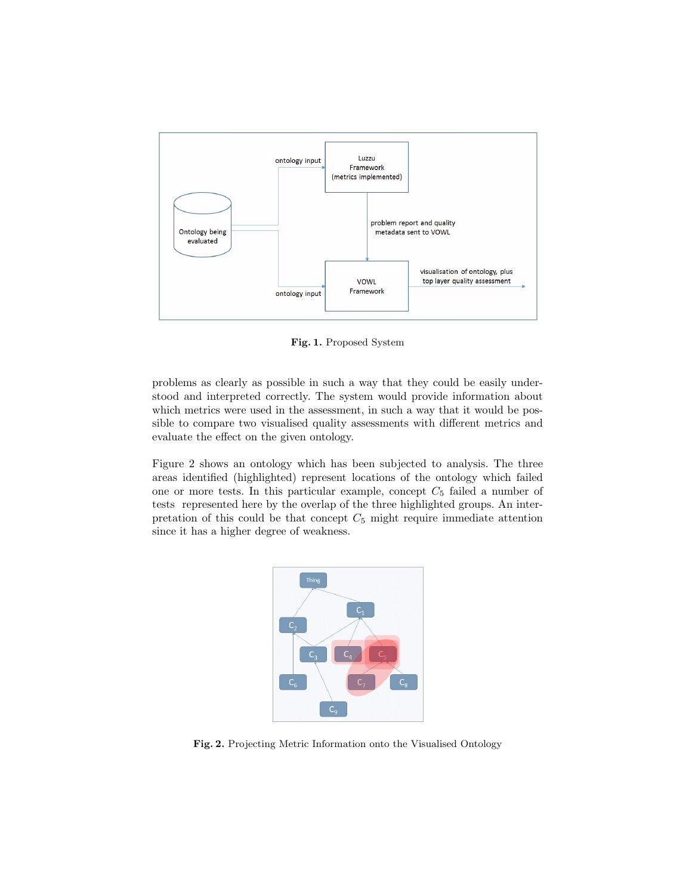

Fig. 1. Proposed System

problems as clearly as possible in such a way that they could be easily understood and interpreted correctly. The system would provide information about which metrics were used in the assessment, in such a way that it would be possible to compare two visualised quality assessments with different metrics and evaluate the effect on the given ontology.

Figure 2 shows an ontology which has been subjected to analysis. The three areas identified (highlighted) represent locations of the ontology which failed one or more tests. In this particular example, concept  $C_5$  failed a number of tests represented here by the overlap of the three highlighted groups. An interpretation of this could be that concept  $C_5$  might require immediate attention since it has a higher degree of weakness.



Fig. 2. Projecting Metric Information onto the Visualised Ontology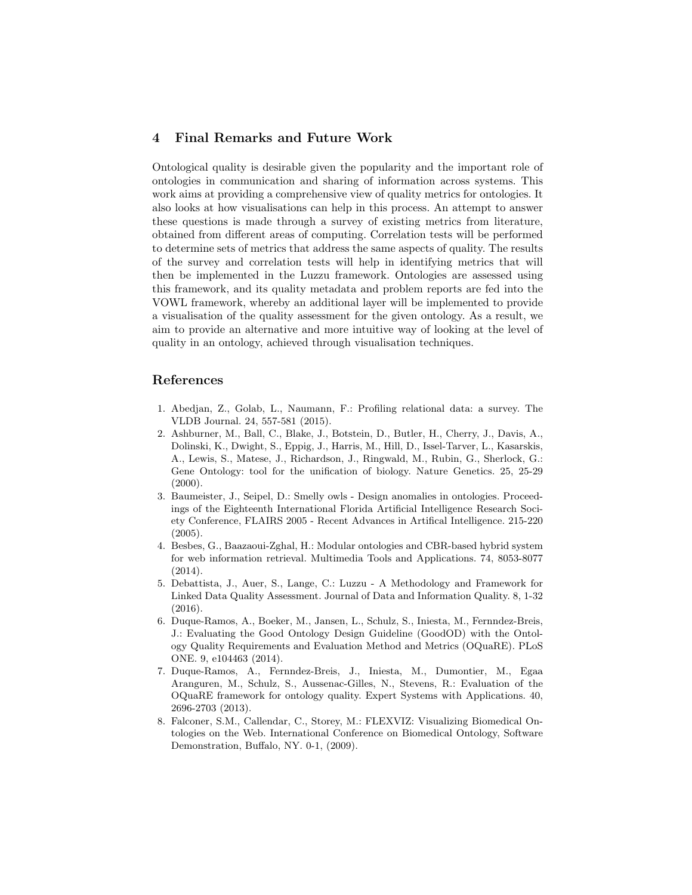# 4 Final Remarks and Future Work

Ontological quality is desirable given the popularity and the important role of ontologies in communication and sharing of information across systems. This work aims at providing a comprehensive view of quality metrics for ontologies. It also looks at how visualisations can help in this process. An attempt to answer these questions is made through a survey of existing metrics from literature, obtained from different areas of computing. Correlation tests will be performed to determine sets of metrics that address the same aspects of quality. The results of the survey and correlation tests will help in identifying metrics that will then be implemented in the Luzzu framework. Ontologies are assessed using this framework, and its quality metadata and problem reports are fed into the VOWL framework, whereby an additional layer will be implemented to provide a visualisation of the quality assessment for the given ontology. As a result, we aim to provide an alternative and more intuitive way of looking at the level of quality in an ontology, achieved through visualisation techniques.

### References

- 1. Abedjan, Z., Golab, L., Naumann, F.: Profiling relational data: a survey. The VLDB Journal. 24, 557-581 (2015).
- 2. Ashburner, M., Ball, C., Blake, J., Botstein, D., Butler, H., Cherry, J., Davis, A., Dolinski, K., Dwight, S., Eppig, J., Harris, M., Hill, D., Issel-Tarver, L., Kasarskis, A., Lewis, S., Matese, J., Richardson, J., Ringwald, M., Rubin, G., Sherlock, G.: Gene Ontology: tool for the unification of biology. Nature Genetics. 25, 25-29  $(2000).$
- 3. Baumeister, J., Seipel, D.: Smelly owls Design anomalies in ontologies. Proceedings of the Eighteenth International Florida Artificial Intelligence Research Society Conference, FLAIRS 2005 - Recent Advances in Artifical Intelligence. 215-220 (2005).
- 4. Besbes, G., Baazaoui-Zghal, H.: Modular ontologies and CBR-based hybrid system for web information retrieval. Multimedia Tools and Applications. 74, 8053-8077 (2014).
- 5. Debattista, J., Auer, S., Lange, C.: Luzzu A Methodology and Framework for Linked Data Quality Assessment. Journal of Data and Information Quality. 8, 1-32 (2016).
- 6. Duque-Ramos, A., Boeker, M., Jansen, L., Schulz, S., Iniesta, M., Fernndez-Breis, J.: Evaluating the Good Ontology Design Guideline (GoodOD) with the Ontology Quality Requirements and Evaluation Method and Metrics (OQuaRE). PLoS ONE. 9, e104463 (2014).
- 7. Duque-Ramos, A., Fernndez-Breis, J., Iniesta, M., Dumontier, M., Egaa Aranguren, M., Schulz, S., Aussenac-Gilles, N., Stevens, R.: Evaluation of the OQuaRE framework for ontology quality. Expert Systems with Applications. 40, 2696-2703 (2013).
- 8. Falconer, S.M., Callendar, C., Storey, M.: FLEXVIZ: Visualizing Biomedical Ontologies on the Web. International Conference on Biomedical Ontology, Software Demonstration, Buffalo, NY. 0-1, (2009).